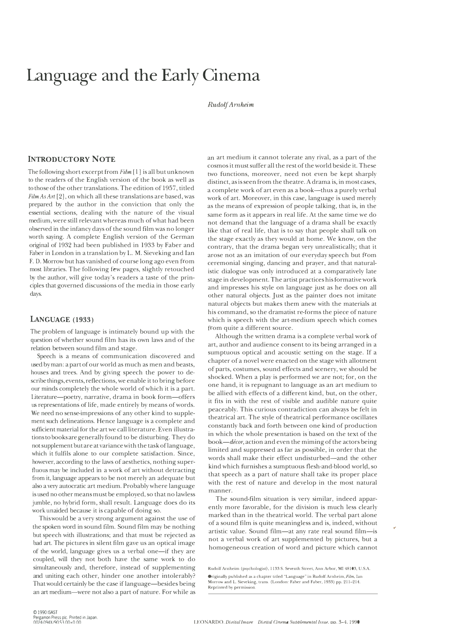## **Language and the Early Cinema**

*Rudolf Amheim* 

## **INTRODUCTORY NOTE**

The following short excerpt from *Film* [ l] is all but unknown to the readers of the English version of the book as well as to those of the other translations. The edition of 1957, titled *Film As Art* [2], on which all these translations are based, was prepared by the author in the conviction that only the essential sections, dealing with the nature of the visual medium, were still relevant whereas much of what had been observed in the infancy days of the sound film was no longer worth saying. A complete English version of the German original of 1932 had been published in 1933 by Faber and Faber in London in a translation by L. M. Sieveking and Ian F. D. Morrow but has vanished of course long ago even from most libraries. The following few pages, slightly retouched by the author, will give today's readers a taste of the principles that governed discussions of the media in those early days.

## **LANGUAGE (1933)**

The problem of language is intimately bound up with the question of whether sound film has its own laws and of the relation between sound film and stage.

Speech is a means of communication discovered and used by man: a part of our world as much as men and beasts, houses and trees. And by giving speech the power to describe things, events, reflections, we enable it to bring before our minds completely the whole world of which it is a part. Literature-poetry, narrative, drama in book form-offers us representations of life, made entirely by means of words. We need no sense-impressions of any other kind to supplement such delineations. Hence language is a complete and sufficient material for the art we call literature. Even illustrations to books are generally found to be disturbing. They do not supplement but are at variance with the task of language, which it fulfils alone to our complete satisfaction. Since, however, according to the laws of aesthetics, nothing superfluous may be included in a work of art without detracting from it, language appears to be not merely an adequate but also a very autocratic art medium. Probably where language is used no other means must be employed, so that no lawless jumble, no hybrid form, shall result. Language does do its work unaided because it is capable of doing so.

This would be a very strong argument against the use of the spoken word in sound film. Sound film may be nothing but speech with illustrations; and that must be rejected as bad art. The pictures in silent film gave us an optical image of the world, language gives us a verbal one-if they are coupled, will they not both have the same work to do simultaneously and, therefore, instead of supplementing and uniting each other, hinder one another intolerably? That would certainly be the case if language—besides being an art medium-were not also a part of nature. For while as an art medium it cannot tolerate any rival, as a part of the cosmos it must suffer all the rest of the world beside it. These two functions, moreover, need not even be kept sharply distinct, as is seen from the theatre. A drama is, in most cases, a complete work of art even as a book-thus a purely verbal work of art. Moreover, in this case, language is used merely as the means of expression of people talking, that is, in the same form as it appears in real life. At the same time we do not demand that the language of a drama shall be exactly like that of real life, that is to say that people shall talk on the stage exactly as they would at home. We know, on the contrary, that the drama began very unrealistically; that it arose not as an imitation of our everyday speech but from ceremonial singing, dancing and prayer, and that naturalistic dialogue was only introduced at a comparatively late stage in development. The artist practices his formative work and impresses his style on language just as he does on all other natural objects. Just as the painter does not imitate natural objects but makes them anew with the materials at his command, so the dramatist re-forms the piece of nature which is speech with the art-medium speech which comes from quite a different source.

Although the written drama is a complete verbal work of art, author and audience consent to its being arranged in a sumptuous optical and acoustic setting on the stage. If a chapter of a novel were enacted on the stage with allotment of parts, costumes, sound effects and scenery, we should be shocked. When a play is performed we are not; for, on the one hand, it is repugnant to language as an art medium to be allied with effects of a different kind, but, on the other, it fits in with the rest of visible and audible nature quite peaceably. This curious contradiction can always be felt in theatrical art. The style of theatrical performance oscillates constantly back and forth between one kind of production in which the whole presentation is based on the text of the *book-decor,* action and even the miming of the actors being limited and suppressed as far as possible, in order that the words shall make their effect undisturbed-and the other kind which furnishes a sumptuous flesh-and-blood world, so that speech as a part of nature shall take its proper place with the rest of nature and develop in the most natural manner.

The sound-film situation is very similar, indeed apparently more favorable, for the division is much less clearly marked than in the theatrical world. The verbal part alone of a sound film is quite meaningless and is, indeed, without artistic value. Sound film-at any rate real sound film-is not a verbal work of art supplemented by pictures, but a homogeneous creation of word and picture which cannot

..

**Rudolf Arnheim (psychologisl), 1133 S. Seventh Street, Ann Arbor, Ml 48103, U.S.A. Originally published as a chapter titled "Language" in Rudolf Arnheim,** *Film,* **Ian Morrow and L. Sieveking, trans. (London: Faber and Faber, 1933) pp. 211-214. Reprinted by permission.**